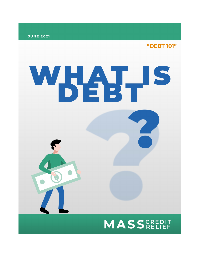

"DEBT 101"

## WHATHS **MASS**CREDIT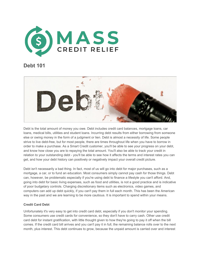

## **Debt 101**



Debt is the total amount of money you owe. Debt includes credit card balances, mortgage loans, car loans, medical bills, utilities and student loans. Incurring debt results from either borrowing from someone else or owing money in the form of a judgment or lien. Debt is almost a necessity of life. Some people strive to live debt-free, but for most people, there are times throughout life when you have to borrow in order to make a purchase. As a Smart Credit customer, you'll be able to see your progress on your debt, and know how close you are to repaying the total amount. You'll also be able to track your credit in relation to your outstanding debt - you'll be able to see how it affects the terms and interest rates you can get, and how your debt history can positively or negatively impact your overall credit picture.

Debt isn't necessarily a bad thing. In fact, most of us will go into debt for major purchases, such as a mortgage, a car, or to fund an education. Most consumers simply cannot pay cash for those things. Debt can, however, be problematic especially if you're using debt to finance a lifestyle you can't afford. And, going into debt for basic living expenses, such as food and utilities, is not a good practice and is indicative of poor budgetary controls. Charging discretionary items such as electronics, video games, and computers can add up debt quickly, if you can't pay them in full each month. This has been the American way in the past and we are learning to be more cautious. It is important to spend within your means.

## **Credit Card Debt**

Unfortunately it's very easy to get into credit card debt, especially if you don't monitor your spending. Some consumers use credit cards for convenience, so they don't have to carry cash. Other use credit card debt for instant gratification, with little thought given to how they're going to pay it off when the bill comes. If the credit card bill arrives and you can't pay it in full, the remaining balance rolls over to the next month, plus interest. This debt continues to grow, because the unpaid amount is carried over and interest